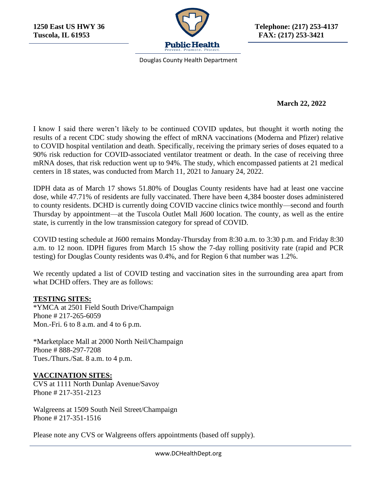

**1250 East US HWY 36 Telephone: (217) 253-4137**

Douglas County Health Department

## **March 22, 2022**

I know I said there weren't likely to be continued COVID updates, but thought it worth noting the results of a recent CDC study showing the effect of mRNA vaccinations (Moderna and Pfizer) relative to COVID hospital ventilation and death. Specifically, receiving the primary series of doses equated to a 90% risk reduction for COVID-associated ventilator treatment or death. In the case of receiving three mRNA doses, that risk reduction went up to 94%. The study, which encompassed patients at 21 medical centers in 18 states, was conducted from March 11, 2021 to January 24, 2022.

IDPH data as of March 17 shows 51.80% of Douglas County residents have had at least one vaccine dose, while 47.71% of residents are fully vaccinated. There have been 4,384 booster doses administered to county residents. DCHD is currently doing COVID vaccine clinics twice monthly—second and fourth Thursday by appointment—at the Tuscola Outlet Mall J600 location. The county, as well as the entire state, is currently in the low transmission category for spread of COVID.

COVID testing schedule at J600 remains Monday-Thursday from 8:30 a.m. to 3:30 p.m. and Friday 8:30 a.m. to 12 noon. IDPH figures from March 15 show the 7-day rolling positivity rate (rapid and PCR testing) for Douglas County residents was 0.4%, and for Region 6 that number was 1.2%.

We recently updated a list of COVID testing and vaccination sites in the surrounding area apart from what DCHD offers. They are as follows:

## **TESTING SITES:**

\*YMCA at 2501 Field South Drive/Champaign Phone # 217-265-6059 Mon.-Fri. 6 to 8 a.m. and 4 to 6 p.m.

\*Marketplace Mall at 2000 North Neil/Champaign Phone # 888-297-7208 Tues./Thurs./Sat. 8 a.m. to 4 p.m.

## **VACCINATION SITES:**

CVS at 1111 North Dunlap Avenue/Savoy Phone # 217-351-2123

Walgreens at 1509 South Neil Street/Champaign Phone # 217-351-1516

Please note any CVS or Walgreens offers appointments (based off supply).